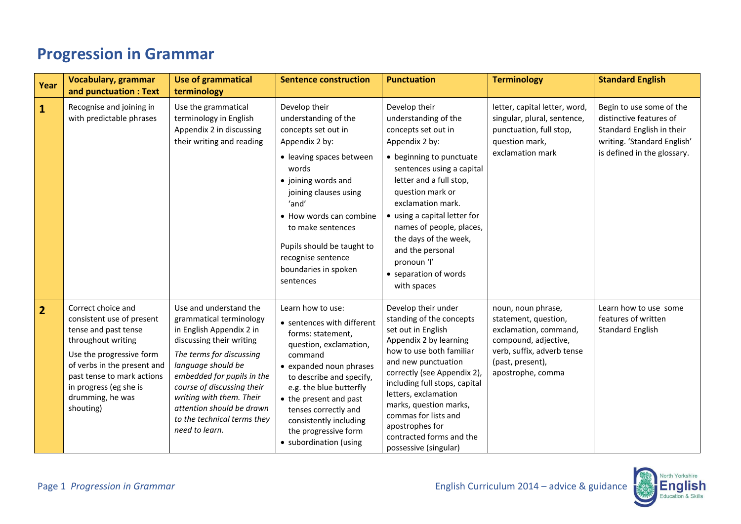## **Progression in Grammar**

| Year           | <b>Vocabulary, grammar</b><br>and punctuation: Text                                                                                                                                                                                               | <b>Use of grammatical</b><br>terminology                                                                                                                                                                                                                                                                                          | <b>Sentence construction</b>                                                                                                                                                                                                                                                                                              | <b>Punctuation</b>                                                                                                                                                                                                                                                                                                                                                          | <b>Terminology</b>                                                                                                                                                 | <b>Standard English</b>                                                                                                                        |
|----------------|---------------------------------------------------------------------------------------------------------------------------------------------------------------------------------------------------------------------------------------------------|-----------------------------------------------------------------------------------------------------------------------------------------------------------------------------------------------------------------------------------------------------------------------------------------------------------------------------------|---------------------------------------------------------------------------------------------------------------------------------------------------------------------------------------------------------------------------------------------------------------------------------------------------------------------------|-----------------------------------------------------------------------------------------------------------------------------------------------------------------------------------------------------------------------------------------------------------------------------------------------------------------------------------------------------------------------------|--------------------------------------------------------------------------------------------------------------------------------------------------------------------|------------------------------------------------------------------------------------------------------------------------------------------------|
| $\mathbf{1}$   | Recognise and joining in<br>with predictable phrases                                                                                                                                                                                              | Use the grammatical<br>terminology in English<br>Appendix 2 in discussing<br>their writing and reading                                                                                                                                                                                                                            | Develop their<br>understanding of the<br>concepts set out in<br>Appendix 2 by:<br>• leaving spaces between<br>words<br>• joining words and<br>joining clauses using<br>'and'<br>• How words can combine<br>to make sentences<br>Pupils should be taught to<br>recognise sentence<br>boundaries in spoken<br>sentences     | Develop their<br>understanding of the<br>concepts set out in<br>Appendix 2 by:<br>• beginning to punctuate<br>sentences using a capital<br>letter and a full stop,<br>question mark or<br>exclamation mark.<br>• using a capital letter for<br>names of people, places,<br>the days of the week,<br>and the personal<br>pronoun 'l'<br>• separation of words<br>with spaces | letter, capital letter, word,<br>singular, plural, sentence,<br>punctuation, full stop,<br>question mark,<br>exclamation mark                                      | Begin to use some of the<br>distinctive features of<br>Standard English in their<br>writing. 'Standard English'<br>is defined in the glossary. |
| $\overline{2}$ | Correct choice and<br>consistent use of present<br>tense and past tense<br>throughout writing<br>Use the progressive form<br>of verbs in the present and<br>past tense to mark actions<br>in progress (eg she is<br>drumming, he was<br>shouting) | Use and understand the<br>grammatical terminology<br>in English Appendix 2 in<br>discussing their writing<br>The terms for discussing<br>language should be<br>embedded for pupils in the<br>course of discussing their<br>writing with them. Their<br>attention should be drawn<br>to the technical terms they<br>need to learn. | Learn how to use:<br>• sentences with different<br>forms: statement,<br>question, exclamation,<br>command<br>• expanded noun phrases<br>to describe and specify,<br>e.g. the blue butterfly<br>• the present and past<br>tenses correctly and<br>consistently including<br>the progressive form<br>• subordination (using | Develop their under<br>standing of the concepts<br>set out in English<br>Appendix 2 by learning<br>how to use both familiar<br>and new punctuation<br>correctly (see Appendix 2),<br>including full stops, capital<br>letters, exclamation<br>marks, question marks,<br>commas for lists and<br>apostrophes for<br>contracted forms and the<br>possessive (singular)        | noun, noun phrase,<br>statement, question,<br>exclamation, command,<br>compound, adjective,<br>verb, suffix, adverb tense<br>(past, present),<br>apostrophe, comma | Learn how to use some<br>features of written<br><b>Standard English</b>                                                                        |

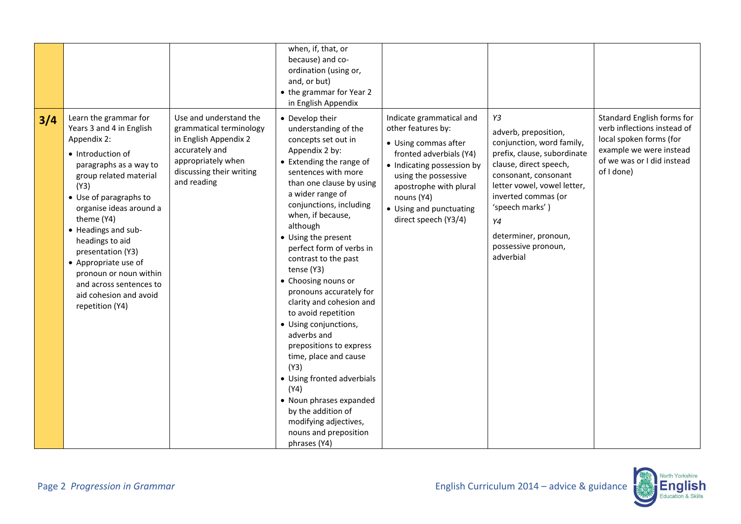|     |                                                                                                                                                                                                                                                                                                                                                                                                               |                                                                                                                                                               | when, if, that, or<br>because) and co-<br>ordination (using or,<br>and, or but)<br>• the grammar for Year 2<br>in English Appendix                                                                                                                                                                                                                                                                                                                                                                                                                                                                                                                                                                         |                                                                                                                                                                                                                                                    |                                                                                                                                                                                                                                                                                     |                                                                                                                                                             |
|-----|---------------------------------------------------------------------------------------------------------------------------------------------------------------------------------------------------------------------------------------------------------------------------------------------------------------------------------------------------------------------------------------------------------------|---------------------------------------------------------------------------------------------------------------------------------------------------------------|------------------------------------------------------------------------------------------------------------------------------------------------------------------------------------------------------------------------------------------------------------------------------------------------------------------------------------------------------------------------------------------------------------------------------------------------------------------------------------------------------------------------------------------------------------------------------------------------------------------------------------------------------------------------------------------------------------|----------------------------------------------------------------------------------------------------------------------------------------------------------------------------------------------------------------------------------------------------|-------------------------------------------------------------------------------------------------------------------------------------------------------------------------------------------------------------------------------------------------------------------------------------|-------------------------------------------------------------------------------------------------------------------------------------------------------------|
| 3/4 | Learn the grammar for<br>Years 3 and 4 in English<br>Appendix 2:<br>• Introduction of<br>paragraphs as a way to<br>group related material<br>(Y3)<br>• Use of paragraphs to<br>organise ideas around a<br>theme (Y4)<br>• Headings and sub-<br>headings to aid<br>presentation (Y3)<br>• Appropriate use of<br>pronoun or noun within<br>and across sentences to<br>aid cohesion and avoid<br>repetition (Y4) | Use and understand the<br>grammatical terminology<br>in English Appendix 2<br>accurately and<br>appropriately when<br>discussing their writing<br>and reading | • Develop their<br>understanding of the<br>concepts set out in<br>Appendix 2 by:<br>• Extending the range of<br>sentences with more<br>than one clause by using<br>a wider range of<br>conjunctions, including<br>when, if because,<br>although<br>• Using the present<br>perfect form of verbs in<br>contrast to the past<br>tense (Y3)<br>• Choosing nouns or<br>pronouns accurately for<br>clarity and cohesion and<br>to avoid repetition<br>• Using conjunctions,<br>adverbs and<br>prepositions to express<br>time, place and cause<br>(Y3)<br>• Using fronted adverbials<br>(Y4)<br>• Noun phrases expanded<br>by the addition of<br>modifying adjectives,<br>nouns and preposition<br>phrases (Y4) | Indicate grammatical and<br>other features by:<br>• Using commas after<br>fronted adverbials (Y4)<br>• Indicating possession by<br>using the possessive<br>apostrophe with plural<br>nouns (Y4)<br>• Using and punctuating<br>direct speech (Y3/4) | Y3<br>adverb, preposition,<br>conjunction, word family,<br>prefix, clause, subordinate<br>clause, direct speech,<br>consonant, consonant<br>letter vowel, vowel letter,<br>inverted commas (or<br>'speech marks')<br>Υ4<br>determiner, pronoun,<br>possessive pronoun,<br>adverbial | Standard English forms for<br>verb inflections instead of<br>local spoken forms (for<br>example we were instead<br>of we was or I did instead<br>of I done) |